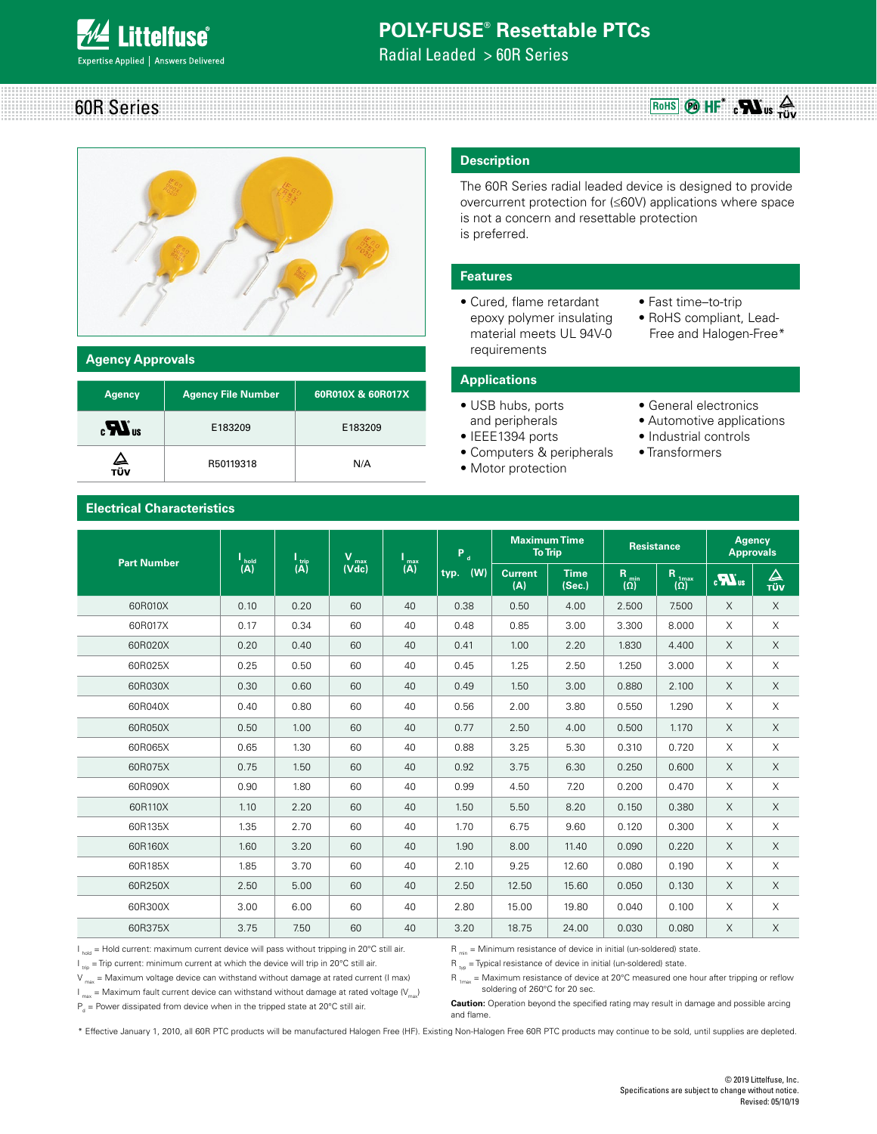

Radial Leaded > 60R Series





#### **Agency Approvals**

| <b>Agency</b>    | <b>Agency File Number</b> | 60R010X & 60R017X |
|------------------|---------------------------|-------------------|
| $\boldsymbol{u}$ | E183209                   | E183209           |
| ∠⊾<br>τϋν        | R50119318                 | N/A               |

### **Description**

The 60R Series radial leaded device is designed to provide overcurrent protection for (≤60V) applications where space is not a concern and resettable protection is preferred.

#### **Features**

- Cured, flame retardant epoxy polymer insulating material meets UL 94V-0 requirements
- Fast time–to-trip
- RoHS compliant, Lead- Free and Halogen-Free\*

#### **Applications**

- USB hubs, ports
- and peripherals
- IEEE1394 ports
- Computers & peripherals
- Motor protection
- General electronics
- Automotive applications
- Industrial controls
- Transformers

### **Electrical Characteristics**

| <b>Part Number</b> |          |                                    | v                                               | $\overline{(\mathbf{A})}$ | $P_d$       | <b>Maximum Time</b><br><b>To Trip</b> |                       | <b>Resistance</b>              |                                 | <b>Agency</b><br><b>Approvals</b> |                 |
|--------------------|----------|------------------------------------|-------------------------------------------------|---------------------------|-------------|---------------------------------------|-----------------------|--------------------------------|---------------------------------|-----------------------------------|-----------------|
|                    | l<br>(A) | $\frac{\text{trip}}{(\mathsf{A})}$ | $\overline{\text{V}}_{\text{max}}^{\text{max}}$ |                           | (W)<br>typ. | <b>Current</b><br>(A)                 | <b>Time</b><br>(Sec.) | R <sub>min</sub><br>$(\Omega)$ | R <sub>1max</sub><br>$(\Omega)$ | $\sum_{\alpha}$                   | $\Delta$<br>TÜV |
| 60R010X            | 0.10     | 0.20                               | 60                                              | 40                        | 0.38        | 0.50                                  | 4.00                  | 2.500                          | 7.500                           | X                                 | $\times$        |
| 60R017X            | 0.17     | 0.34                               | 60                                              | 40                        | 0.48        | 0.85                                  | 3.00                  | 3.300                          | 8.000                           | X                                 | $\times$        |
| 60R020X            | 0.20     | 0.40                               | 60                                              | 40                        | 0.41        | 1.00                                  | 2.20                  | 1.830                          | 4.400                           | X                                 | X               |
| 60R025X            | 0.25     | 0.50                               | 60                                              | 40                        | 0.45        | 1.25                                  | 2.50                  | 1.250                          | 3.000                           | X                                 | $\times$        |
| 60R030X            | 0.30     | 0.60                               | 60                                              | 40                        | 0.49        | 1.50                                  | 3.00                  | 0.880                          | 2.100                           | X                                 | $\times$        |
| 60R040X            | 0.40     | 0.80                               | 60                                              | 40                        | 0.56        | 2.00                                  | 3.80                  | 0.550                          | 1.290                           | X                                 | X               |
| 60R050X            | 0.50     | 1.00                               | 60                                              | 40                        | 0.77        | 2.50                                  | 4.00                  | 0.500                          | 1.170                           | X                                 | $\times$        |
| 60R065X            | 0.65     | 1.30                               | 60                                              | 40                        | 0.88        | 3.25                                  | 5.30                  | 0.310                          | 0.720                           | X                                 | $\times$        |
| 60R075X            | 0.75     | 1.50                               | 60                                              | 40                        | 0.92        | 3.75                                  | 6.30                  | 0.250                          | 0.600                           | X                                 | X               |
| 60R090X            | 0.90     | 1.80                               | 60                                              | 40                        | 0.99        | 4.50                                  | 7.20                  | 0.200                          | 0.470                           | X                                 | $\times$        |
| 60R110X            | 1.10     | 2.20                               | 60                                              | 40                        | 1.50        | 5.50                                  | 8.20                  | 0.150                          | 0.380                           | X                                 | $\times$        |
| 60R135X            | 1.35     | 2.70                               | 60                                              | 40                        | 1.70        | 6.75                                  | 9.60                  | 0.120                          | 0.300                           | X                                 | X               |
| 60R160X            | 1.60     | 3.20                               | 60                                              | 40                        | 1.90        | 8.00                                  | 11.40                 | 0.090                          | 0.220                           | X                                 | X               |
| 60R185X            | 1.85     | 3.70                               | 60                                              | 40                        | 2.10        | 9.25                                  | 12.60                 | 0.080                          | 0.190                           | X                                 | $\times$        |
| 60R250X            | 2.50     | 5.00                               | 60                                              | 40                        | 2.50        | 12.50                                 | 15.60                 | 0.050                          | 0.130                           | X                                 | X               |
| 60R300X            | 3.00     | 6.00                               | 60                                              | 40                        | 2.80        | 15.00                                 | 19.80                 | 0.040                          | 0.100                           | X                                 | $\times$        |
| 60R375X            | 3.75     | 7.50                               | 60                                              | 40                        | 3.20        | 18.75                                 | 24.00                 | 0.030                          | 0.080                           | X                                 | $\times$        |

 $I_{hold}$  = Hold current: maximum current device will pass without tripping in 20°C still air.  $I_{\text{triv}}$  = Trip current: minimum current at which the device will trip in 20°C still air.

 $V_{\text{max}}$  = Maximum voltage device can withstand without damage at rated current (I max)  $I_{\text{max}}$  = Maximum fault current device can withstand without damage at rated voltage  $\langle V_{\text{max}} \rangle$   $R_{min}$  = Minimum resistance of device in initial (un-soldered) state.

 $R_{\text{top}}$  = Typical resistance of device in initial (un-soldered) state.

 $R_{\text{1max}}$  = Maximum resistance of device at 20°C measured one hour after tripping or reflow soldering of 260°C for 20 sec.

 $P_d$  = Power dissipated from device when in the tripped state at 20°C still air.

**Caution:** Operation beyond the specified rating may result in damage and possible arcing and flame.

\* Effective January 1, 2010, all 60R PTC products will be manufactured Halogen Free (HF). Existing Non-Halogen Free 60R PTC products may continue to be sold, until supplies are depleted.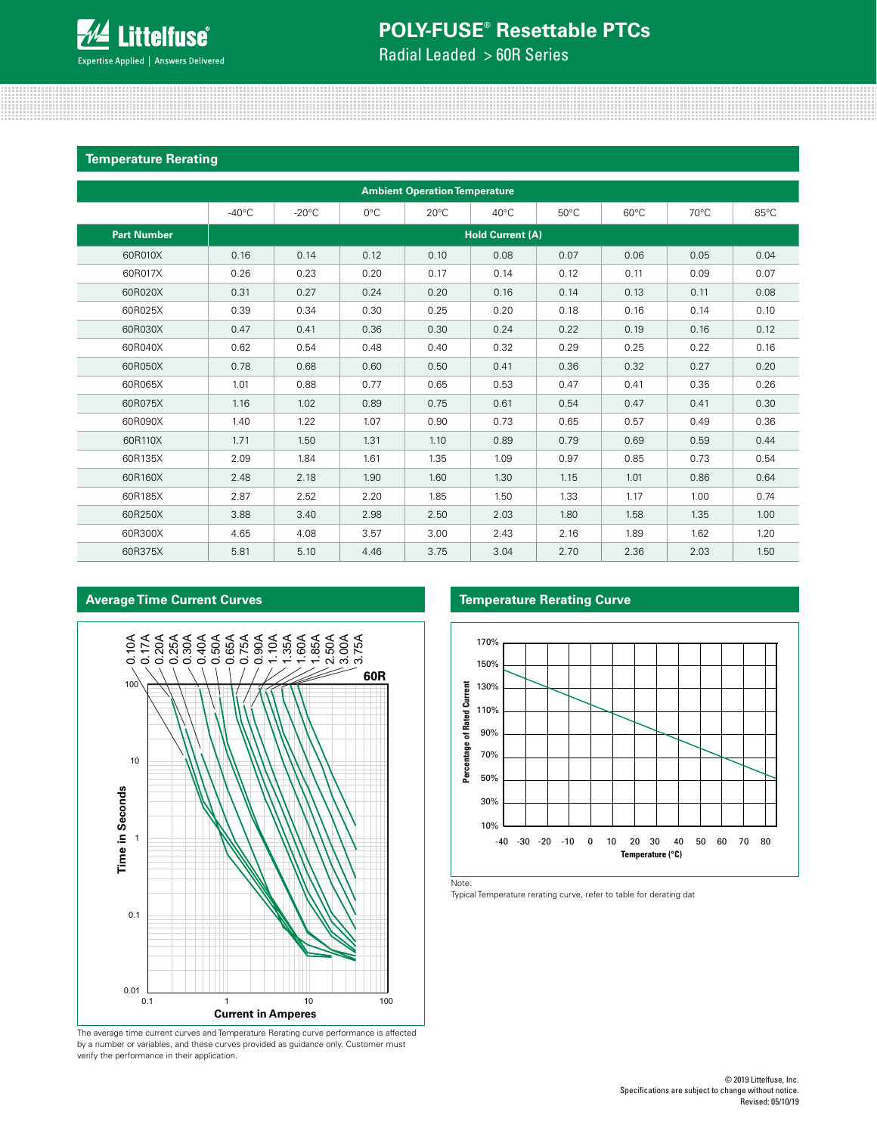Radial Leaded > 60R Series

#### **Temperature Rerating**

| <b>Ambient Operation Temperature</b> |                 |                         |               |                |                |                |                |                |      |  |  |
|--------------------------------------|-----------------|-------------------------|---------------|----------------|----------------|----------------|----------------|----------------|------|--|--|
|                                      | $-40^{\circ}$ C | $-20^{\circ}$ C         | $0^{\circ}$ C | $20^{\circ}$ C | $40^{\circ}$ C | $50^{\circ}$ C | $60^{\circ}$ C | $70^{\circ}$ C | 85°C |  |  |
| <b>Part Number</b>                   |                 | <b>Hold Current (A)</b> |               |                |                |                |                |                |      |  |  |
| 60R010X                              | 0.16            | 0.14                    | 0.12          | 0.10           | 0.08           | 0.07           | 0.06           | 0.05           | 0.04 |  |  |
| 60R017X                              | 0.26            | 0.23                    | 0.20          | 0.17           | 0.14           | 0.12           | 0.11           | 0.09           | 0.07 |  |  |
| 60R020X                              | 0.31            | 0.27                    | 0.24          | 0.20           | 0.16           | 0.14           | 0.13           | 0.11           | 0.08 |  |  |
| 60R025X                              | 0.39            | 0.34                    | 0.30          | 0.25           | 0.20           | 0.18           | 0.16           | 0.14           | 0.10 |  |  |
| 60R030X                              | 0.47            | 0.41                    | 0.36          | 0.30           | 0.24           | 0.22           | 0.19           | 0.16           | 0.12 |  |  |
| 60R040X                              | 0.62            | 0.54                    | 0.48          | 0.40           | 0.32           | 0.29           | 0.25           | 0.22           | 0.16 |  |  |
| 60R050X                              | 0.78            | 0.68                    | 0.60          | 0.50           | 0.41           | 0.36           | 0.32           | 0.27           | 0.20 |  |  |
| 60R065X                              | 1.01            | 0.88                    | 0.77          | 0.65           | 0.53           | 0.47           | 0.41           | 0.35           | 0.26 |  |  |
| 60R075X                              | 1.16            | 1.02                    | 0.89          | 0.75           | 0.61           | 0.54           | 0.47           | 0.41           | 0.30 |  |  |
| 60R090X                              | 1.40            | 1.22                    | 1.07          | 0.90           | 0.73           | 0.65           | 0.57           | 0.49           | 0.36 |  |  |
| 60R110X                              | 1.71            | 1.50                    | 1.31          | 1.10           | 0.89           | 0.79           | 0.69           | 0.59           | 0.44 |  |  |
| 60R135X                              | 2.09            | 1.84                    | 1.61          | 1.35           | 1.09           | 0.97           | 0.85           | 0.73           | 0.54 |  |  |
| 60R160X                              | 2.48            | 2.18                    | 1.90          | 1.60           | 1.30           | 1.15           | 1.01           | 0.86           | 0.64 |  |  |
| 60R185X                              | 2.87            | 2.52                    | 2.20          | 1.85           | 1.50           | 1.33           | 1.17           | 1.00           | 0.74 |  |  |
| 60R250X                              | 3.88            | 3.40                    | 2.98          | 2.50           | 2.03           | 1.80           | 1.58           | 1.35           | 1.00 |  |  |
| 60R300X                              | 4.65            | 4.08                    | 3.57          | 3.00           | 2.43           | 2.16           | 1.89           | 1.62           | 1.20 |  |  |
| 60R375X                              | 5.81            | 5.10                    | 4.46          | 3.75           | 3.04           | 2.70           | 2.36           | 2.03           | 1.50 |  |  |

### **Average Time Current Curves Temperature Rerating Curve**



The average time current curves and Temperature Rerating curve performance is affected by a number or variables, and these curves provided as guidance only. Customer must verify the performance in their application.



Note:

Typical Temperature rerating curve, refer to table for derating dat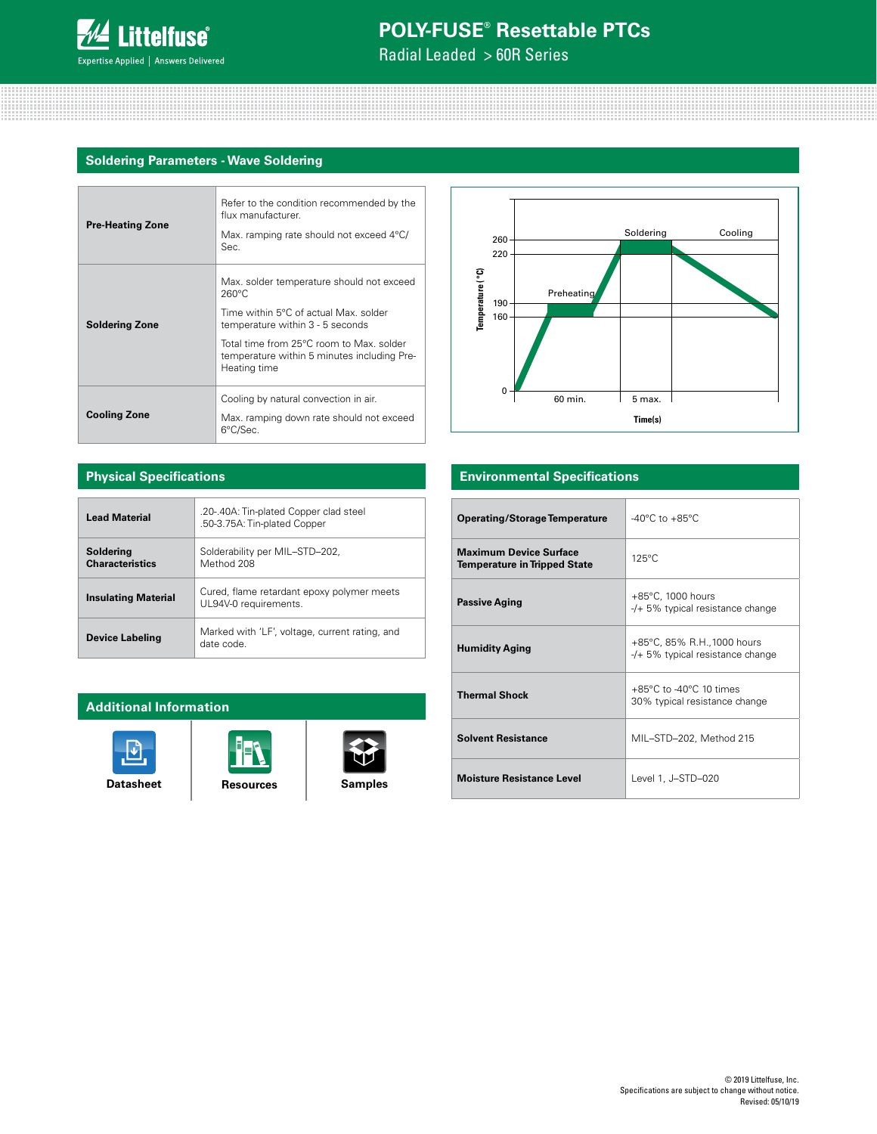

Radial Leaded > 60R Series

### **Soldering Parameters - Wave Soldering**

| <b>Pre-Heating Zone</b> | Refer to the condition recommended by the<br>flux manufacturer.<br>Max. ramping rate should not exceed 4°C/<br>Sec.                                                                                                                                  |  |  |  |  |
|-------------------------|------------------------------------------------------------------------------------------------------------------------------------------------------------------------------------------------------------------------------------------------------|--|--|--|--|
| <b>Soldering Zone</b>   | Max. solder temperature should not exceed<br>$260^{\circ}$ C<br>Time within 5°C of actual Max, solder<br>temperature within 3 - 5 seconds<br>Total time from 25°C room to Max, solder<br>temperature within 5 minutes including Pre-<br>Heating time |  |  |  |  |
| <b>Cooling Zone</b>     | Cooling by natural convection in air.<br>Max. ramping down rate should not exceed<br>6°C/Sec.                                                                                                                                                        |  |  |  |  |



### **Physical Specifications**

| <b>Lead Material</b>                | .20-.40A: Tin-plated Copper clad steel<br>.50-3.75A: Tin-plated Copper |
|-------------------------------------|------------------------------------------------------------------------|
| Soldering<br><b>Characteristics</b> | Solderability per MIL-STD-202,<br>Method 208                           |
| <b>Insulating Material</b>          | Cured, flame retardant epoxy polymer meets<br>UL94V-0 requirements.    |
| <b>Device Labeling</b>              | Marked with 'LF', voltage, current rating, and<br>date code            |

### **Additional Information**







### **Environmental Specifications**

| <b>Operating/Storage Temperature</b>                                 | $-40^{\circ}$ C to $+85^{\circ}$ C                                            |
|----------------------------------------------------------------------|-------------------------------------------------------------------------------|
| <b>Maximum Device Surface</b><br><b>Temperature in Tripped State</b> | $125^{\circ}$ C                                                               |
| <b>Passive Aging</b>                                                 | +85°C, 1000 hours<br>$-$ /+ 5% typical resistance change                      |
| <b>Humidity Aging</b>                                                | +85°C, 85% R.H., 1000 hours<br>$-/-$ 5% typical resistance change             |
| <b>Thermal Shock</b>                                                 | $+85^{\circ}$ C to -40 $^{\circ}$ C 10 times<br>30% typical resistance change |
| <b>Solvent Resistance</b>                                            | MIL-STD-202, Method 215                                                       |
| <b>Moisture Resistance Level</b>                                     | Level 1, J-STD-020                                                            |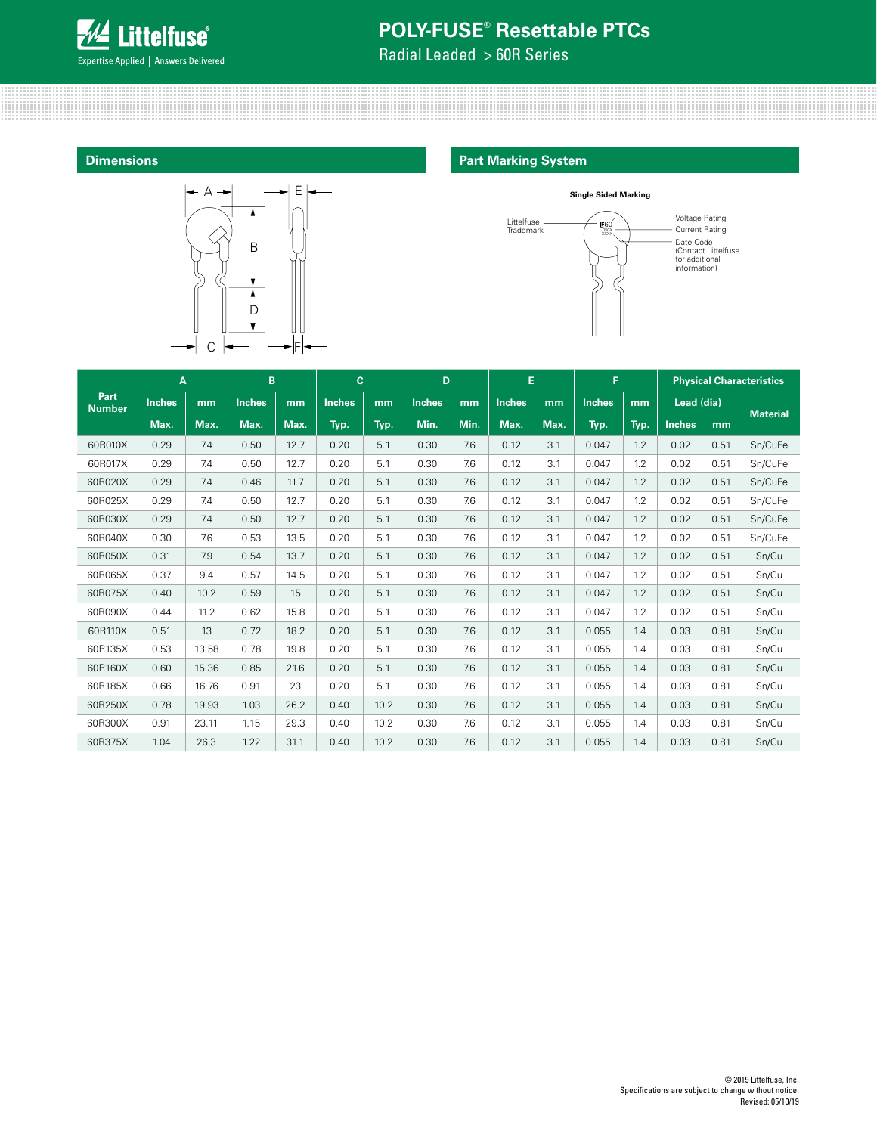

Radial Leaded > 60R Series

### **Dimensions**



### **Part Marking System**



|                              | A             |       | B             |      | $\mathbf{C}$  |      | D             |      | E             |      | F.            |      |               |      | <b>Physical Characteristics</b> |
|------------------------------|---------------|-------|---------------|------|---------------|------|---------------|------|---------------|------|---------------|------|---------------|------|---------------------------------|
| <b>Part</b><br><b>Number</b> | <b>Inches</b> | mm    | <b>Inches</b> | mm   | <b>Inches</b> | mm   | <b>Inches</b> | mm   | <b>Inches</b> | mm   | <b>Inches</b> | mm   | Lead (dia)    |      | <b>Material</b>                 |
|                              | Max.          | Max.  | Max.          | Max. | Typ.          | Typ. | Min.          | Min. | Max.          | Max. | Typ.          | Typ. | <b>Inches</b> | mm   |                                 |
| 60R010X                      | 0.29          | 7.4   | 0.50          | 12.7 | 0.20          | 5.1  | 0.30          | 7.6  | 0.12          | 3.1  | 0.047         | 1.2  | 0.02          | 0.51 | Sn/CuFe                         |
| 60R017X                      | 0.29          | 7.4   | 0.50          | 12.7 | 0.20          | 5.1  | 0.30          | 7.6  | 0.12          | 3.1  | 0.047         | 1.2  | 0.02          | 0.51 | Sn/CuFe                         |
| 60R020X                      | 0.29          | 7.4   | 0.46          | 11.7 | 0.20          | 5.1  | 0.30          | 7.6  | 0.12          | 3.1  | 0.047         | 1.2  | 0.02          | 0.51 | Sn/CuFe                         |
| 60R025X                      | 0.29          | 7.4   | 0.50          | 12.7 | 0.20          | 5.1  | 0.30          | 7.6  | 0.12          | 3.1  | 0.047         | 1.2  | 0.02          | 0.51 | Sn/CuFe                         |
| 60R030X                      | 0.29          | 7.4   | 0.50          | 12.7 | 0.20          | 5.1  | 0.30          | 7.6  | 0.12          | 3.1  | 0.047         | 1.2  | 0.02          | 0.51 | Sn/CuFe                         |
| 60R040X                      | 0.30          | 7.6   | 0.53          | 13.5 | 0.20          | 5.1  | 0.30          | 7.6  | 0.12          | 3.1  | 0.047         | 1.2  | 0.02          | 0.51 | Sn/CuFe                         |
| 60R050X                      | 0.31          | 7.9   | 0.54          | 13.7 | 0.20          | 5.1  | 0.30          | 7.6  | 0.12          | 3.1  | 0.047         | 1.2  | 0.02          | 0.51 | Sn/Cu                           |
| 60R065X                      | 0.37          | 9.4   | 0.57          | 14.5 | 0.20          | 5.1  | 0.30          | 7.6  | 0.12          | 3.1  | 0.047         | 1.2  | 0.02          | 0.51 | Sn/Cu                           |
| 60R075X                      | 0.40          | 10.2  | 0.59          | 15   | 0.20          | 5.1  | 0.30          | 7.6  | 0.12          | 3.1  | 0.047         | 1.2  | 0.02          | 0.51 | Sn/Cu                           |
| 60R090X                      | 0.44          | 11.2  | 0.62          | 15.8 | 0.20          | 5.1  | 0.30          | 7.6  | 0.12          | 3.1  | 0.047         | 1.2  | 0.02          | 0.51 | Sn/Cu                           |
| 60R110X                      | 0.51          | 13    | 0.72          | 18.2 | 0.20          | 5.1  | 0.30          | 7.6  | 0.12          | 3.1  | 0.055         | 1.4  | 0.03          | 0.81 | Sn/Cu                           |
| 60R135X                      | 0.53          | 13.58 | 0.78          | 19.8 | 0.20          | 5.1  | 0.30          | 7.6  | 0.12          | 3.1  | 0.055         | 1.4  | 0.03          | 0.81 | Sn/Cu                           |
| 60R160X                      | 0.60          | 15.36 | 0.85          | 21.6 | 0.20          | 5.1  | 0.30          | 7.6  | 0.12          | 3.1  | 0.055         | 1.4  | 0.03          | 0.81 | Sn/Cu                           |
| 60R185X                      | 0.66          | 16.76 | 0.91          | 23   | 0.20          | 5.1  | 0.30          | 7.6  | 0.12          | 3.1  | 0.055         | 1.4  | 0.03          | 0.81 | Sn/Cu                           |
| 60R250X                      | 0.78          | 19.93 | 1.03          | 26.2 | 0.40          | 10.2 | 0.30          | 7.6  | 0.12          | 3.1  | 0.055         | 1.4  | 0.03          | 0.81 | Sn/Cu                           |
| 60R300X                      | 0.91          | 23.11 | 1.15          | 29.3 | 0.40          | 10.2 | 0.30          | 7.6  | 0.12          | 3.1  | 0.055         | 1.4  | 0.03          | 0.81 | Sn/Cu                           |
| 60R375X                      | 1.04          | 26.3  | 1.22          | 31.1 | 0.40          | 10.2 | 0.30          | 7.6  | 0.12          | 3.1  | 0.055         | 1.4  | 0.03          | 0.81 | Sn/Cu                           |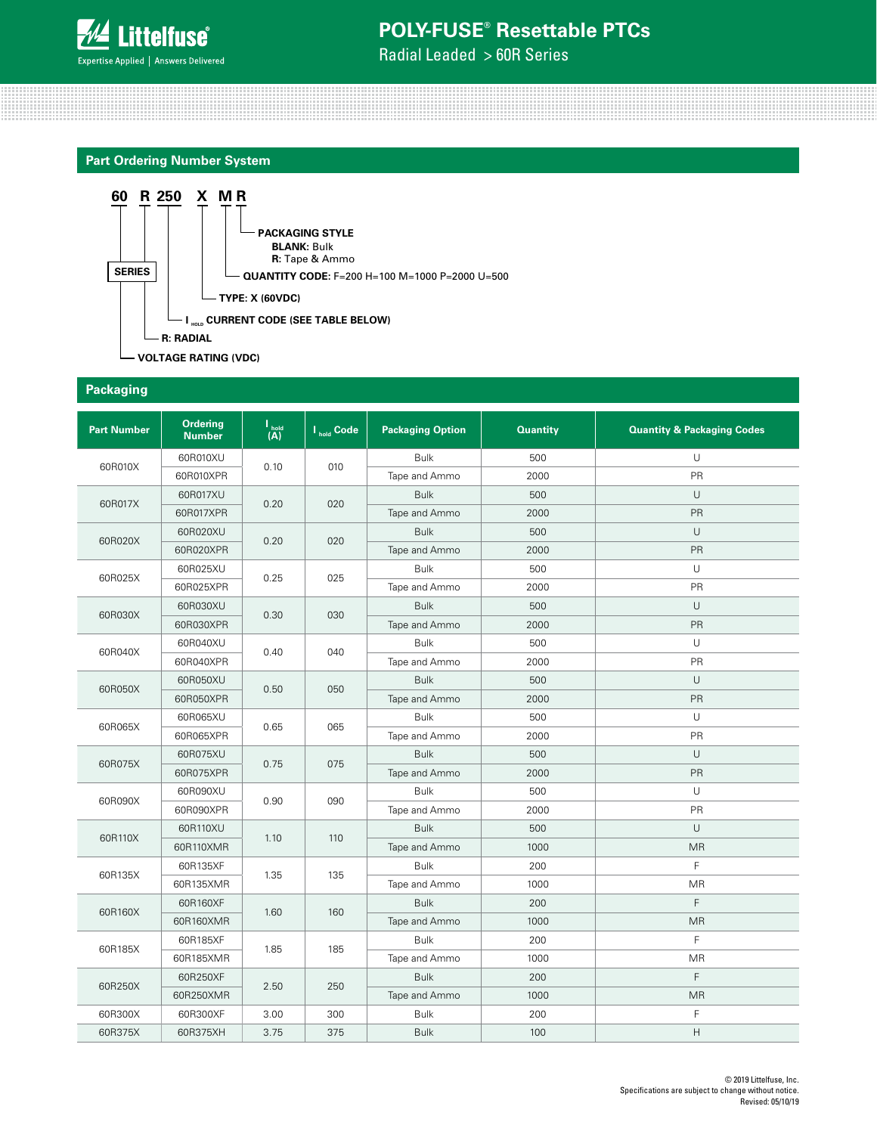

Radial Leaded > 60R Series

### **Part Ordering Number System**



#### **Packaging**

| <b>Part Number</b> | Ordering<br><b>Number</b> | $\frac{1_{\text{hold}}}{(A)}$ | I <sub>hold</sub> Code | <b>Packaging Option</b> | <b>Quantity</b> | <b>Quantity &amp; Packaging Codes</b> |
|--------------------|---------------------------|-------------------------------|------------------------|-------------------------|-----------------|---------------------------------------|
|                    | 60R010XU                  |                               |                        | <b>Bulk</b>             | 500             | U                                     |
| 60R010X            | 60R010XPR                 | 0.10                          | 010                    | Tape and Ammo           | 2000            | PR                                    |
|                    | 60R017XU                  |                               |                        | <b>Bulk</b>             | 500             | U                                     |
| 60R017X            | 60R017XPR                 | 0.20                          | 020                    | Tape and Ammo           | 2000            | PR                                    |
|                    | 60R020XU                  |                               |                        | <b>Bulk</b>             | 500             | U                                     |
| 60R020X            | 60R020XPR                 | 0.20                          | 020                    | Tape and Ammo           | 2000            | PR                                    |
|                    | 60R025XU                  |                               |                        | <b>Bulk</b>             | 500             | U                                     |
| 60R025X            | 60R025XPR                 | 0.25                          | 025                    | Tape and Ammo           | 2000            | PR                                    |
|                    | 60R030XU                  |                               |                        | <b>Bulk</b>             | 500             | U                                     |
| 60R030X            | 60R030XPR                 | 0.30                          | 030                    | Tape and Ammo           | 2000            | PR                                    |
|                    | 60R040XU                  |                               | 040                    | <b>Bulk</b>             | 500             | U                                     |
| 60R040X            | 60R040XPR                 | 0.40                          |                        | Tape and Ammo           | 2000            | PR                                    |
|                    | 60R050XU                  |                               |                        | <b>Bulk</b>             | 500             | U                                     |
| 60R050X            | 60R050XPR                 | 0.50                          | 050                    | Tape and Ammo           | 2000            | PR                                    |
|                    | 60R065XU                  | 0.65                          | 065                    | <b>Bulk</b>             | 500             | U                                     |
| 60R065X            | 60R065XPR                 |                               |                        | Tape and Ammo           | 2000            | PR                                    |
|                    | 60R075XU                  |                               | 075                    | <b>Bulk</b>             | 500             | U                                     |
| 60R075X            | 60R075XPR                 | 0.75                          |                        | Tape and Ammo           | 2000            | PR                                    |
| 60R090X            | 60R090XU                  | 0.90                          | 090                    | <b>Bulk</b>             | 500             | U                                     |
|                    | 60R090XPR                 |                               |                        | Tape and Ammo           | 2000            | PR                                    |
| 60R110X            | 60R110XU                  | 1.10                          | 110                    | <b>Bulk</b>             | 500             | U                                     |
|                    | 60R110XMR                 |                               |                        | Tape and Ammo           | 1000            | <b>MR</b>                             |
|                    | 60R135XF                  |                               |                        | <b>Bulk</b>             | 200             | F                                     |
| 60R135X            | 60R135XMR                 | 1.35                          | 135                    | Tape and Ammo           | 1000            | <b>MR</b>                             |
| 60R160X            | 60R160XF                  | 1.60                          | 160                    | <b>Bulk</b>             | 200             | F                                     |
|                    | 60R160XMR                 |                               |                        | Tape and Ammo           | 1000            | <b>MR</b>                             |
|                    | 60R185XF                  |                               |                        | <b>Bulk</b>             | 200             | F                                     |
| 60R185X            | 60R185XMR                 | 1.85                          | 185                    | Tape and Ammo           | 1000            | MR                                    |
|                    | 60R250XF                  |                               |                        | <b>Bulk</b>             | 200             | F                                     |
| 60R250X            | 60R250XMR                 | 2.50                          | 250                    | Tape and Ammo           | 1000            | <b>MR</b>                             |
| 60R300X            | 60R300XF                  | 3.00                          | 300                    | <b>Bulk</b>             | 200             | F                                     |
| 60R375X            | 60R375XH                  | 3.75                          | 375                    | <b>Bulk</b>             | 100             | Η                                     |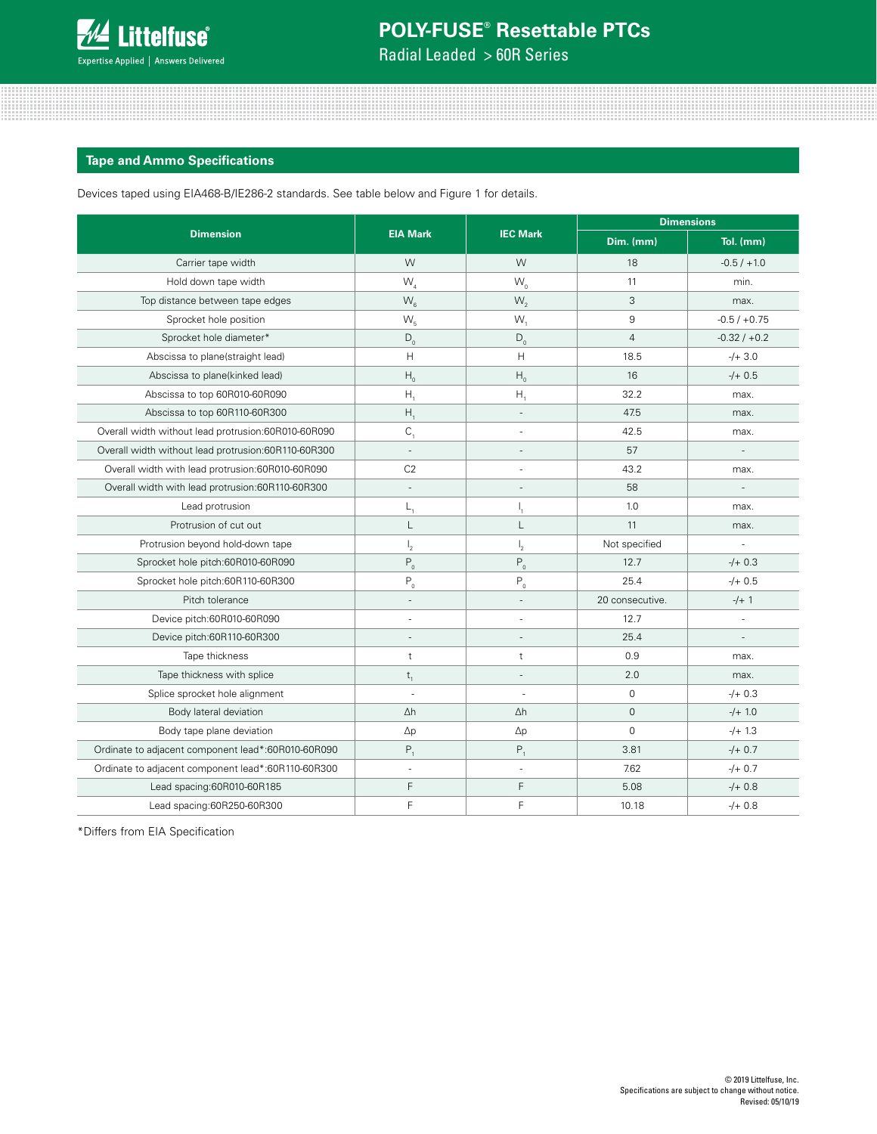

Radial Leaded > 60R Series

### **Tape and Ammo Specifications**

Devices taped using EIA468-B/IE286-2 standards. See table below and Figure 1 for details.

|                                                     |                          |                  | <b>Dimensions</b> |                |  |  |
|-----------------------------------------------------|--------------------------|------------------|-------------------|----------------|--|--|
| <b>Dimension</b>                                    | <b>EIA Mark</b>          | <b>IEC Mark</b>  | Dim. (mm)         | Tol. (mm)      |  |  |
| Carrier tape width                                  | W                        | W                | 18                | $-0.5 / +1.0$  |  |  |
| Hold down tape width                                | $W_{4}$                  | $W_{0}$          | 11                | min.           |  |  |
| Top distance between tape edges                     | $W_{6}$                  | $W_{2}$          | 3                 | max.           |  |  |
| Sprocket hole position                              | $W_{5}$                  | W,               | 9                 | $-0.5 / +0.75$ |  |  |
| Sprocket hole diameter*                             | $D_0$                    | $D_{0}$          | $\overline{4}$    | $-0.32 / +0.2$ |  |  |
| Abscissa to plane(straight lead)                    | H                        | H                | 18.5              | $-/- 3.0$      |  |  |
| Abscissa to plane(kinked lead)                      | $H_0$                    | $H_0$            | 16                | $-/- 0.5$      |  |  |
| Abscissa to top 60R010-60R090                       | $H_{1}$                  | Η,               | 32.2              | max.           |  |  |
| Abscissa to top 60R110-60R300                       | H,                       |                  | 47.5              | max.           |  |  |
| Overall width without lead protrusion:60R010-60R090 | $C_{1}$                  |                  | 42.5              | max.           |  |  |
| Overall width without lead protrusion:60R110-60R300 | ÷.                       |                  | 57                |                |  |  |
| Overall width with lead protrusion:60R010-60R090    | C <sub>2</sub>           |                  | 43.2              | max.           |  |  |
| Overall width with lead protrusion:60R110-60R300    | ÷,                       |                  | 58                |                |  |  |
| Lead protrusion                                     | $L_{1}$                  | Ι,               | 1.0               | max.           |  |  |
| Protrusion of cut out                               | L                        | L                | 11                | max.           |  |  |
| Protrusion beyond hold-down tape                    | $\mathsf{I}_2$           | $\mathsf{I}_{2}$ | Not specified     |                |  |  |
| Sprocket hole pitch:60R010-60R090                   | $P_0$                    | $P_0$            | 12.7              | $-/- 0.3$      |  |  |
| Sprocket hole pitch:60R110-60R300                   | $\mathsf{P}_{_{\!0}}$    | $P_0$            | 25.4              | $-/- 0.5$      |  |  |
| Pitch tolerance                                     | $\overline{\phantom{a}}$ |                  | 20 consecutive.   | $-/- 1$        |  |  |
| Device pitch:60R010-60R090                          | ÷,                       |                  | 12.7              | ä,             |  |  |
| Device pitch:60R110-60R300                          |                          |                  | 25.4              |                |  |  |
| Tape thickness                                      | t                        | t                | 0.9               | max.           |  |  |
| Tape thickness with splice                          | $t_{1}$                  |                  | 2.0               | max.           |  |  |
| Splice sprocket hole alignment                      | $\overline{\phantom{a}}$ |                  | $\mathbf 0$       | $-/- 0.3$      |  |  |
| Body lateral deviation                              | $\Delta h$               | $\Delta h$       | $\mathbf{0}$      | $-/-1.0$       |  |  |
| Body tape plane deviation                           | $\Delta p$               | $\Delta p$       | $\mathbf 0$       | $-/-1.3$       |  |  |
| Ordinate to adjacent component lead*:60R010-60R090  | $P_1$                    | $P_1$            | 3.81              | $-/- 0.7$      |  |  |
| Ordinate to adjacent component lead*:60R110-60R300  |                          |                  | 7.62              | $-/- 0.7$      |  |  |
| Lead spacing:60R010-60R185                          | F                        | F                | 5.08              | $-/- 0.8$      |  |  |
| Lead spacing:60R250-60R300                          | F                        | F                | 10.18             | $-/+ 0.8$      |  |  |

\*Differs from EIA Specification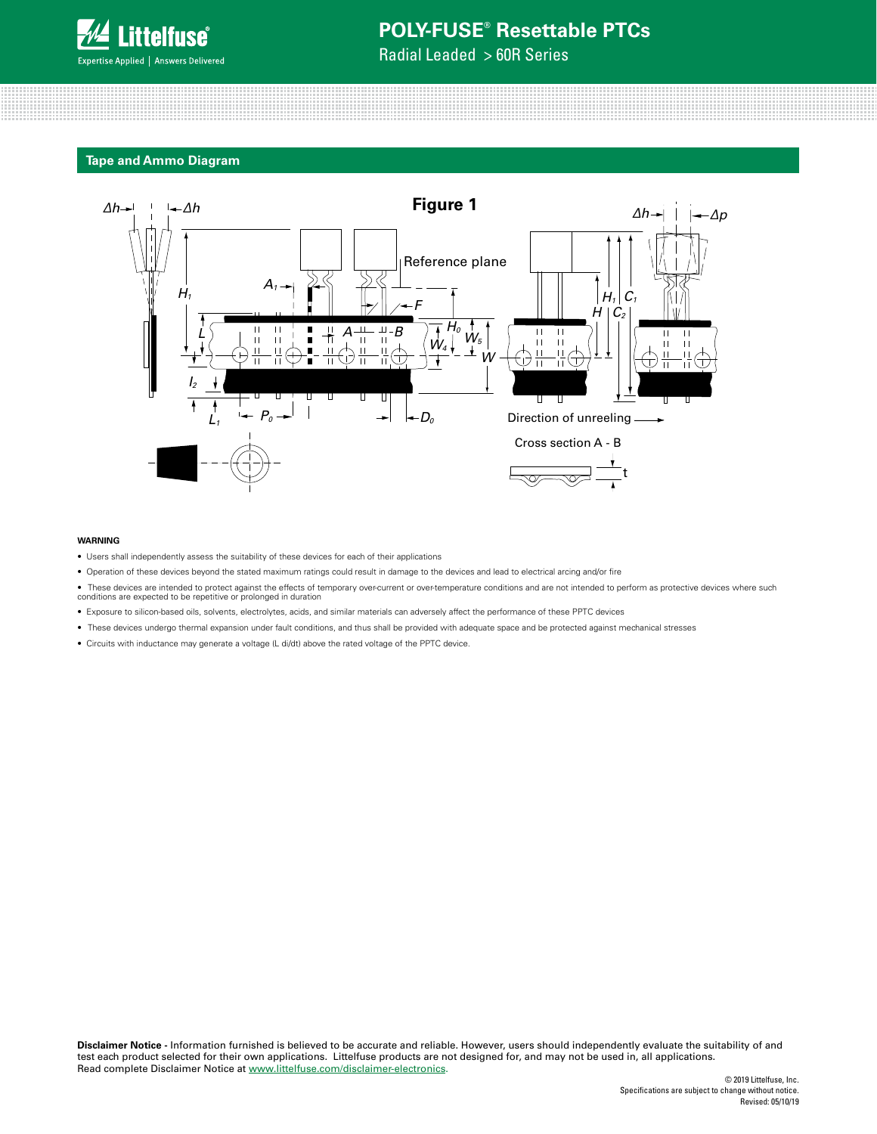

Radial Leaded > 60R Series

#### **Tape and Ammo Diagram**



#### **WARNING**

- Users shall independently assess the suitability of these devices for each of their applications
- Operation of these devices beyond the stated maximum ratings could result in damage to the devices and lead to electrical arcing and/or fire
- ective ● These devices are intended to protect against the effects of temporary over-current or over-temperature conditions and are not intended to perform as protective devices where such<br>conditions are expected to be repetitiv
- Exposure to silicon-based oils, solvents, electrolytes, acids, and similar materials can adversely affect the performance of these PPTC devices
- These devices undergo thermal expansion under fault conditions, and thus shall be provided with adequate space and be protected against mechanical stresses
- Circuits with inductance may generate a voltage (L di/dt) above the rated voltage of the PPTC device.